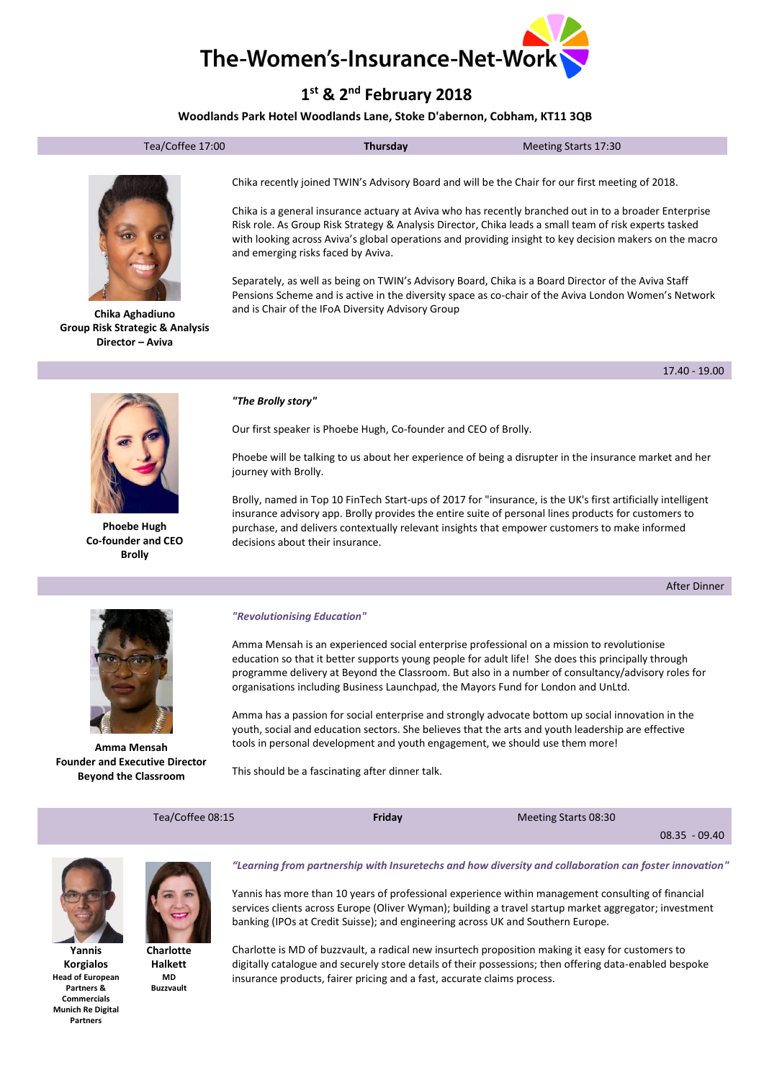

# **1 st & 2nd February 2018**

# **Woodlands Park Hotel Woodlands Lane, Stoke D'abernon, Cobham, KT11 3QB**

|--|



**Chika Aghadiuno Group Risk Strategic & Analysis Director – Aviva**

Chika recently joined TWIN's Advisory Board and will be the Chair for our first meeting of 2018.

Chika is a general insurance actuary at Aviva who has recently branched out in to a broader Enterprise Risk role. As Group Risk Strategy & Analysis Director, Chika leads a small team of risk experts tasked with looking across Aviva's global operations and providing insight to key decision makers on the macro and emerging risks faced by Aviva.

Separately, as well as being on TWIN's Advisory Board, Chika is a Board Director of the Aviva Staff Pensions Scheme and is active in the diversity space as co-chair of the Aviva London Women's Network and is Chair of the IFoA Diversity Advisory Group



**Phoebe Hugh Co-founder and CEO Brolly**

#### *"The Brolly story"*

Our first speaker is Phoebe Hugh, Co-founder and CEO of Brolly.

Phoebe will be talking to us about her experience of being a disrupter in the insurance market and her journey with Brolly.

Brolly, named in Top 10 FinTech Start-ups of 2017 for "insurance, is the UK's first artificially intelligent insurance advisory app. Brolly provides the entire suite of personal lines products for customers to purchase, and delivers contextually relevant insights that empower customers to make informed decisions about their insurance.

After Dinner



**Amma Mensah Founder and Executive Director Beyond the Classroom**

#### *"Revolutionising Education"*

Amma Mensah is an experienced social enterprise professional on a mission to revolutionise education so that it better supports young people for adult life! She does this principally through programme delivery at Beyond the Classroom. But also in a number of consultancy/advisory roles for organisations including Business Launchpad, the Mayors Fund for London and UnLtd.

Amma has a passion for social enterprise and strongly advocate bottom up social innovation in the youth, social and education sectors. She believes that the arts and youth leadership are effective tools in personal development and youth engagement, we should use them more!

This should be a fascinating after dinner talk.

| Tea/Coffee 08:15 |                                                                                                        | Friday | Meeting Starts 08:30                                                                                                                                                                                                                                    |                 |
|------------------|--------------------------------------------------------------------------------------------------------|--------|---------------------------------------------------------------------------------------------------------------------------------------------------------------------------------------------------------------------------------------------------------|-----------------|
|                  |                                                                                                        |        |                                                                                                                                                                                                                                                         | $08.35 - 09.40$ |
|                  | "Learning from partnership with Insuretechs and how diversity and collaboration can foster innovation" |        |                                                                                                                                                                                                                                                         |                 |
|                  |                                                                                                        |        | Yannis has more than 10 years of professional experience within management consulting of financial<br>$\mathbf{r}$ , and $\mathbf{r}$ , and $\mathbf{r}$ , and $\mathbf{r}$ , and $\mathbf{r}$ , and $\mathbf{r}$ , and $\mathbf{r}$ , and $\mathbf{r}$ |                 |

services clients across Europe (Oliver Wyman); building a travel startup market aggregator; investment banking (IPOs at Credit Suisse); and engineering across UK and Southern Europe.

Charlotte is MD of buzzvault, a radical new insurtech proposition making it easy for customers to digitally catalogue and securely store details of their possessions; then offering data-enabled bespoke insurance products, fairer pricing and a fast, accurate claims process.



**Yannis Korgialos Head of European Partners & Commercials Munich Re Digital Partners**



**Charlotte Halkett MD Buzzvault**